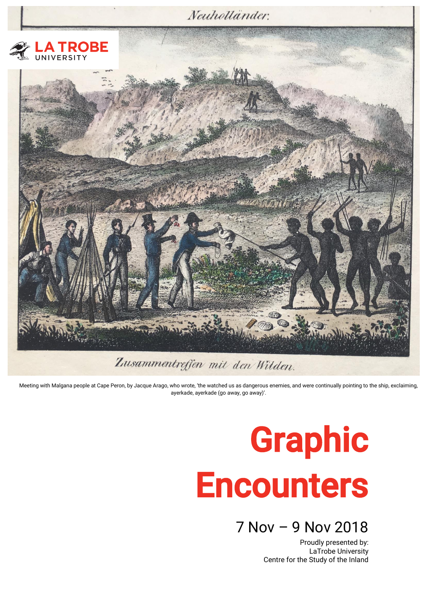

Meeting with Malgana people at Cape Peron, by Jacque Arago, who wrote, 'the watched us as dangerous enemies, and were continually pointing to the ship, exclaiming, ayerkade, ayerkade (go away, go away)'.

# Graphic **Encounters**

## 7 Nov – 9 Nov 2018

Proudly presented by: LaTrobe University Centre for the Study of the Inland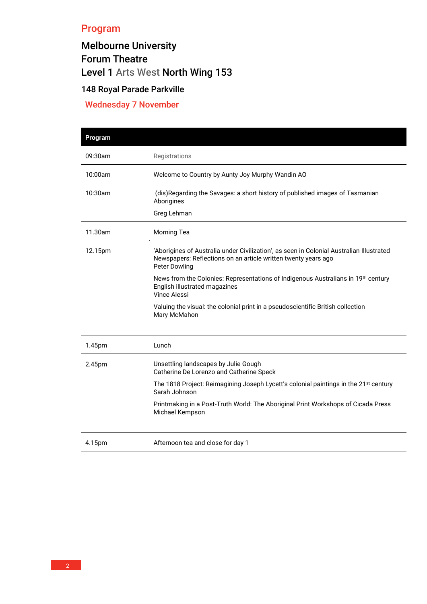## Program

# Melbourne University Forum Theatre Level 1 [Arts West](https://www.google.com/maps?ll=-37.797624,144.959409&z=14&t=m&hl=en-AU&gl=AU&mapclient=embed&cid=16009932670051251832) North Wing 153

## 148 Royal Parade Parkville

## Wednesday 7 November

| Program |                                                                                                                                                                                    |  |  |
|---------|------------------------------------------------------------------------------------------------------------------------------------------------------------------------------------|--|--|
| 09:30am | Registrations                                                                                                                                                                      |  |  |
| 10:00am | Welcome to Country by Aunty Joy Murphy Wandin AO                                                                                                                                   |  |  |
| 10:30am | (dis)Regarding the Savages: a short history of published images of Tasmanian<br>Aborigines                                                                                         |  |  |
|         | Greg Lehman                                                                                                                                                                        |  |  |
| 11.30am | <b>Morning Tea</b>                                                                                                                                                                 |  |  |
| 12.15pm | 'Aborigines of Australia under Civilization', as seen in Colonial Australian Illustrated<br>Newspapers: Reflections on an article written twenty years ago<br><b>Peter Dowling</b> |  |  |
|         | News from the Colonies: Representations of Indigenous Australians in 19 <sup>th</sup> century<br>English illustrated magazines<br><b>Vince Alessi</b>                              |  |  |
|         | Valuing the visual: the colonial print in a pseudoscientific British collection<br>Mary McMahon                                                                                    |  |  |
| 1.45pm  | Lunch                                                                                                                                                                              |  |  |
| 2.45pm  | Unsettling landscapes by Julie Gough<br>Catherine De Lorenzo and Catherine Speck                                                                                                   |  |  |
|         | The 1818 Project: Reimagining Joseph Lycett's colonial paintings in the 21 <sup>st</sup> century<br>Sarah Johnson                                                                  |  |  |
|         | Printmaking in a Post-Truth World: The Aboriginal Print Workshops of Cicada Press<br>Michael Kempson                                                                               |  |  |
| 4.15pm  | Afternoon tea and close for day 1                                                                                                                                                  |  |  |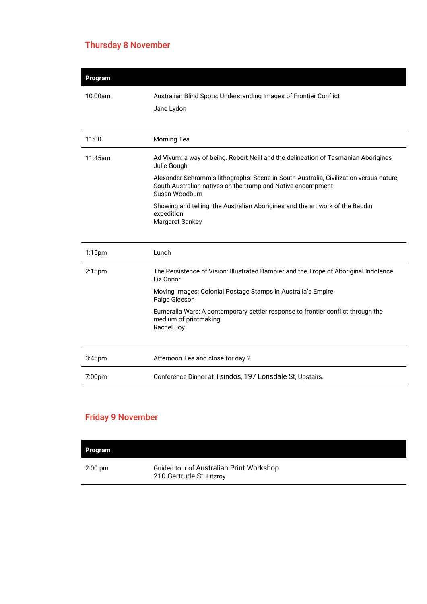## Thursday 8 November

| Australian Blind Spots: Understanding Images of Frontier Conflict                                                                                                       |
|-------------------------------------------------------------------------------------------------------------------------------------------------------------------------|
| Jane Lydon                                                                                                                                                              |
|                                                                                                                                                                         |
| Morning Tea                                                                                                                                                             |
| Ad Vivum: a way of being. Robert Neill and the delineation of Tasmanian Aborigines<br>Julie Gough                                                                       |
| Alexander Schramm's lithographs: Scene in South Australia, Civilization versus nature,<br>South Australian natives on the tramp and Native encampment<br>Susan Woodburn |
| Showing and telling: the Australian Aborigines and the art work of the Baudin<br>expedition<br>Margaret Sankey                                                          |
|                                                                                                                                                                         |
| Lunch                                                                                                                                                                   |
| The Persistence of Vision: Illustrated Dampier and the Trope of Aboriginal Indolence<br>Liz Conor                                                                       |
| Moving Images: Colonial Postage Stamps in Australia's Empire<br>Paige Gleeson                                                                                           |
| Eumeralla Wars: A contemporary settler response to frontier conflict through the<br>medium of printmaking<br>Rachel Joy                                                 |
|                                                                                                                                                                         |
| Afternoon Tea and close for day 2                                                                                                                                       |
| Conference Dinner at Tsindos, 197 Lonsdale St, Upstairs.                                                                                                                |
|                                                                                                                                                                         |

## Friday 9 November

| Program   |                                                                      |  |
|-----------|----------------------------------------------------------------------|--|
| $2:00$ pm | Guided tour of Australian Print Workshop<br>210 Gertrude St, Fitzroy |  |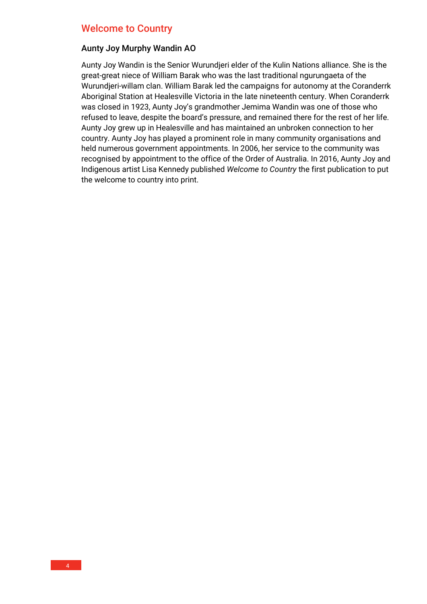#### Welcome to Country

#### Aunty Joy Murphy Wandin AO

Aunty Joy Wandin is the Senior Wurundjeri elder of the Kulin Nations alliance. She is the great-great niece of William Barak who was the last traditional ngurungaeta of the Wurundjeri-willam clan. William Barak led the campaigns for autonomy at the Coranderrk Aboriginal Station at Healesville Victoria in the late nineteenth century. When Coranderrk was closed in 1923, Aunty Joy's grandmother Jemima Wandin was one of those who refused to leave, despite the board's pressure, and remained there for the rest of her life. Aunty Joy grew up in Healesville and has maintained an unbroken connection to her country. Aunty Joy has played a prominent role in many community organisations and held numerous government appointments. In 2006, her service to the community was recognised by appointment to the office of the Order of Australia. In 2016, Aunty Joy and Indigenous artist Lisa Kennedy published *Welcome to Country* the first publication to put the welcome to country into print.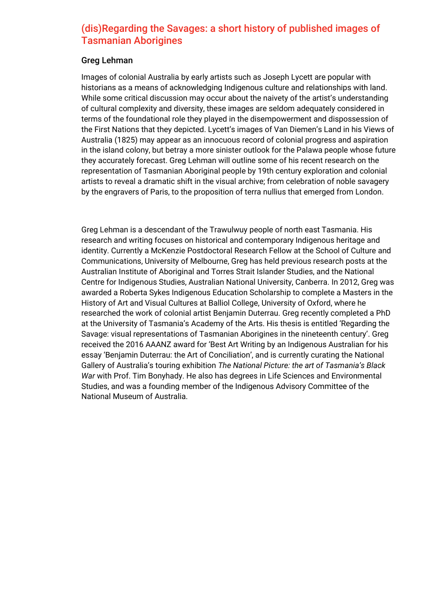## (dis)Regarding the Savages: a short history of published images of Tasmanian Aborigines

#### Greg Lehman

Images of colonial Australia by early artists such as Joseph Lycett are popular with historians as a means of acknowledging Indigenous culture and relationships with land. While some critical discussion may occur about the naivety of the artist's understanding of cultural complexity and diversity, these images are seldom adequately considered in terms of the foundational role they played in the disempowerment and dispossession of the First Nations that they depicted. Lycett's images of Van Diemen's Land in his Views of Australia (1825) may appear as an innocuous record of colonial progress and aspiration in the island colony, but betray a more sinister outlook for the Palawa people whose future they accurately forecast. Greg Lehman will outline some of his recent research on the representation of Tasmanian Aboriginal people by 19th century exploration and colonial artists to reveal a dramatic shift in the visual archive; from celebration of noble savagery by the engravers of Paris, to the proposition of terra nullius that emerged from London.

Greg Lehman is a descendant of the Trawulwuy people of north east Tasmania. His research and writing focuses on historical and contemporary Indigenous heritage and identity. Currently a McKenzie Postdoctoral Research Fellow at the School of Culture and Communications, University of Melbourne, Greg has held previous research posts at the Australian Institute of Aboriginal and Torres Strait Islander Studies, and the National Centre for Indigenous Studies, Australian National University, Canberra. In 2012, Greg was awarded a Roberta Sykes Indigenous Education Scholarship to complete a Masters in the History of Art and Visual Cultures at Balliol College, University of Oxford, where he researched the work of colonial artist Benjamin Duterrau. Greg recently completed a PhD at the University of Tasmania's Academy of the Arts. His thesis is entitled 'Regarding the Savage: visual representations of Tasmanian Aborigines in the nineteenth century'. Greg received the 2016 AAANZ award for 'Best Art Writing by an Indigenous Australian for his essay 'Benjamin Duterrau: the Art of Conciliation', and is currently curating the National Gallery of Australia's touring exhibition *The National Picture: the art of Tasmania's Black War* with Prof. Tim Bonyhady. He also has degrees in Life Sciences and Environmental Studies, and was a founding member of the Indigenous Advisory Committee of the National Museum of Australia.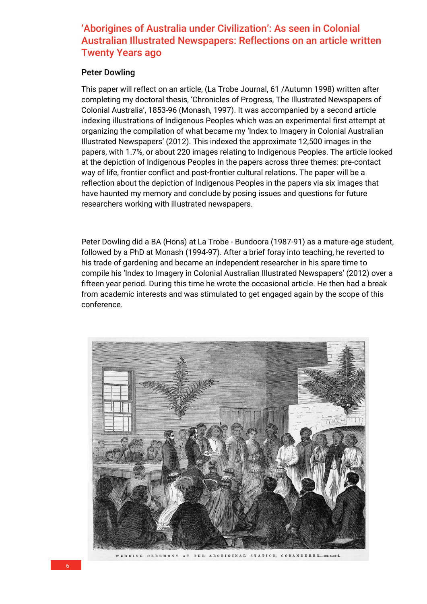## 'Aborigines of Australia under Civilization': As seen in Colonial Australian Illustrated Newspapers: Reflections on an article written Twenty Years ago

#### Peter Dowling

This paper will reflect on an article, (La Trobe Journal, 61 /Autumn 1998) written after completing my doctoral thesis, 'Chronicles of Progress, The Illustrated Newspapers of Colonial Australia', 1853-96 (Monash, 1997). It was accompanied by a second article indexing illustrations of Indigenous Peoples which was an experimental first attempt at organizing the compilation of what became my 'Index to Imagery in Colonial Australian Illustrated Newspapers' (2012). This indexed the approximate 12,500 images in the papers, with 1.7%, or about 220 images relating to Indigenous Peoples. The article looked at the depiction of Indigenous Peoples in the papers across three themes: pre-contact way of life, frontier conflict and post-frontier cultural relations. The paper will be a reflection about the depiction of Indigenous Peoples in the papers via six images that have haunted my memory and conclude by posing issues and questions for future researchers working with illustrated newspapers.

Peter Dowling did a BA (Hons) at La Trobe - Bundoora (1987-91) as a mature-age student, followed by a PhD at Monash (1994-97). After a brief foray into teaching, he reverted to his trade of gardening and became an independent researcher in his spare time to compile his 'Index to Imagery in Colonial Australian Illustrated Newspapers' (2012) over a fifteen year period. During this time he wrote the occasional article. He then had a break from academic interests and was stimulated to get engaged again by the scope of this conference.

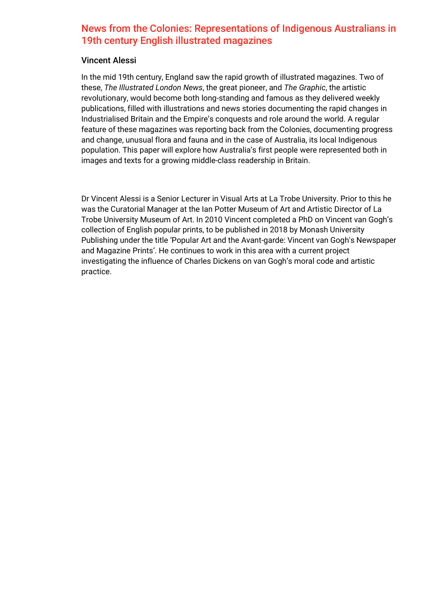## News from the Colonies: Representations of Indigenous Australians in 19th century English illustrated magazines

#### Vincent Alessi

In the mid 19th century, England saw the rapid growth of illustrated magazines. Two of these, *The Illustrated London News*, the great pioneer, and *The Graphic*, the artistic revolutionary, would become both long-standing and famous as they delivered weekly publications, filled with illustrations and news stories documenting the rapid changes in Industrialised Britain and the Empire's conquests and role around the world. A regular feature of these magazines was reporting back from the Colonies, documenting progress and change, unusual flora and fauna and in the case of Australia, its local Indigenous population. This paper will explore how Australia's first people were represented both in images and texts for a growing middle-class readership in Britain.

Dr Vincent Alessi is a Senior Lecturer in Visual Arts at La Trobe University. Prior to this he was the Curatorial Manager at the Ian Potter Museum of Art and Artistic Director of La Trobe University Museum of Art. In 2010 Vincent completed a PhD on Vincent van Gogh's collection of English popular prints, to be published in 2018 by Monash University Publishing under the title 'Popular Art and the Avant-garde: Vincent van Gogh's Newspaper and Magazine Prints'. He continues to work in this area with a current project investigating the influence of Charles Dickens on van Gogh's moral code and artistic practice.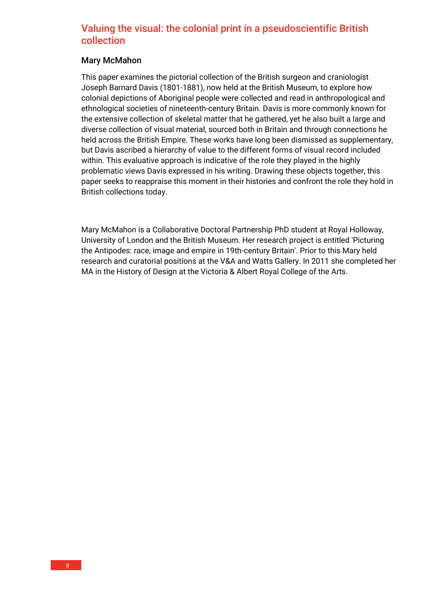## Valuing the visual: the colonial print in a pseudoscientific British collection

#### Mary McMahon

This paper examines the pictorial collection of the British surgeon and craniologist Joseph Barnard Davis (1801-1881), now held at the British Museum, to explore how colonial depictions of Aboriginal people were collected and read in anthropological and ethnological societies of nineteenth-century Britain. Davis is more commonly known for the extensive collection of skeletal matter that he gathered, yet he also built a large and diverse collection of visual material, sourced both in Britain and through connections he held across the British Empire. These works have long been dismissed as supplementary, but Davis ascribed a hierarchy of value to the different forms of visual record included within. This evaluative approach is indicative of the role they played in the highly problematic views Davis expressed in his writing. Drawing these objects together, this paper seeks to reappraise this moment in their histories and confront the role they hold in British collections today.

Mary McMahon is a Collaborative Doctoral Partnership PhD student at Royal Holloway, University of London and the British Museum. Her research project is entitled 'Picturing the Antipodes: race, image and empire in 19th-century Britain'. Prior to this Mary held research and curatorial positions at the V&A and Watts Gallery. In 2011 she completed her MA in the History of Design at the Victoria & Albert Royal College of the Arts.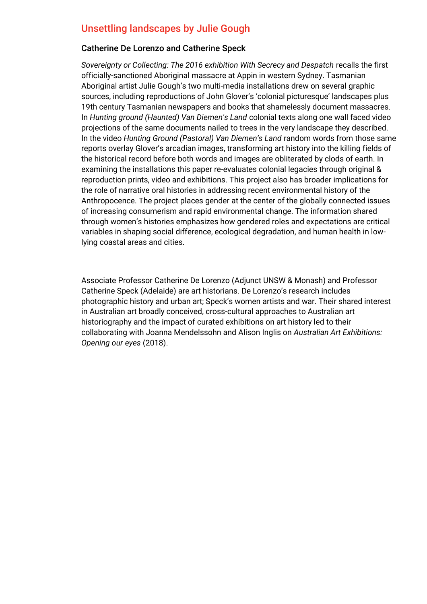## Unsettling landscapes by Julie Gough

#### Catherine De Lorenzo and Catherine Speck

*Sovereignty or Collecting: The 2016 exhibition With Secrecy and Despatch* recalls the first officially-sanctioned Aboriginal massacre at Appin in western Sydney. Tasmanian Aboriginal artist Julie Gough's two multi-media installations drew on several graphic sources, including reproductions of John Glover's 'colonial picturesque' landscapes plus 19th century Tasmanian newspapers and books that shamelessly document massacres. In *Hunting ground (Haunted) Van Diemen's Land* colonial texts along one wall faced video projections of the same documents nailed to trees in the very landscape they described. In the video *Hunting Ground (Pastoral) Van Diemen's Land* random words from those same reports overlay Glover's arcadian images, transforming art history into the killing fields of the historical record before both words and images are obliterated by clods of earth. In examining the installations this paper re-evaluates colonial legacies through original & reproduction prints, video and exhibitions. This project also has broader implications for the role of narrative oral histories in addressing recent environmental history of the Anthropocence. The project places gender at the center of the globally connected issues of increasing consumerism and rapid environmental change. The information shared through women's histories emphasizes how gendered roles and expectations are critical variables in shaping social difference, ecological degradation, and human health in lowlying coastal areas and cities.

Associate Professor Catherine De Lorenzo (Adjunct UNSW & Monash) and Professor Catherine Speck (Adelaide) are art historians. De Lorenzo's research includes photographic history and urban art; Speck's women artists and war. Their shared interest in Australian art broadly conceived, cross-cultural approaches to Australian art historiography and the impact of curated exhibitions on art history led to their collaborating with Joanna Mendelssohn and Alison Inglis on *Australian Art Exhibitions: Opening our eyes* (2018).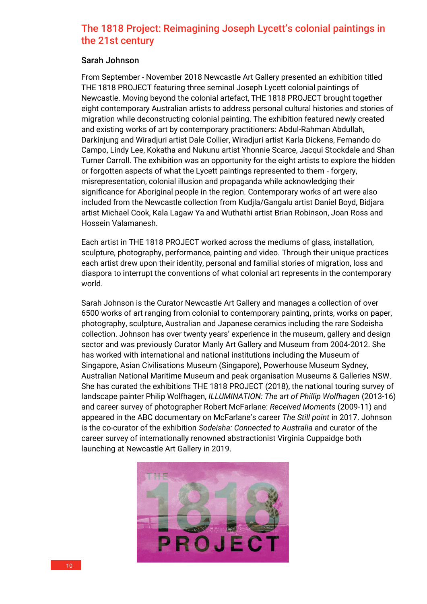## The 1818 Project: Reimagining Joseph Lycett's colonial paintings in the 21st century

#### Sarah Johnson

From September - November 2018 Newcastle Art Gallery presented an exhibition titled THE 1818 PROJECT featuring three seminal Joseph Lycett colonial paintings of Newcastle. Moving beyond the colonial artefact, THE 1818 PROJECT brought together eight contemporary Australian artists to address personal cultural histories and stories of migration while deconstructing colonial painting. The exhibition featured newly created and existing works of art by contemporary practitioners: Abdul-Rahman Abdullah, Darkinjung and Wiradjuri artist Dale Collier, Wiradjuri artist Karla Dickens, Fernando do Campo, Lindy Lee, Kokatha and Nukunu artist Yhonnie Scarce, Jacqui Stockdale and Shan Turner Carroll. The exhibition was an opportunity for the eight artists to explore the hidden or forgotten aspects of what the Lycett paintings represented to them - forgery, misrepresentation, colonial illusion and propaganda while acknowledging their significance for Aboriginal people in the region. Contemporary works of art were also included from the Newcastle collection from Kudjla/Gangalu artist Daniel Boyd, Bidjara artist Michael Cook, Kala Lagaw Ya and Wuthathi artist Brian Robinson, Joan Ross and Hossein Valamanesh.

Each artist in THE 1818 PROJECT worked across the mediums of glass, installation, sculpture, photography, performance, painting and video. Through their unique practices each artist drew upon their identity, personal and familial stories of migration, loss and diaspora to interrupt the conventions of what colonial art represents in the contemporary world.

Sarah Johnson is the Curator Newcastle Art Gallery and manages a collection of over 6500 works of art ranging from colonial to contemporary painting, prints, works on paper, photography, sculpture, Australian and Japanese ceramics including the rare Sodeisha collection. Johnson has over twenty years' experience in the museum, gallery and design sector and was previously Curator Manly Art Gallery and Museum from 2004-2012. She has worked with international and national institutions including the Museum of Singapore, Asian Civilisations Museum (Singapore), Powerhouse Museum Sydney, Australian National Maritime Museum and peak organisation Museums & Galleries NSW. She has curated the exhibitions THE 1818 PROJECT (2018), the national touring survey of landscape painter Philip Wolfhagen, *ILLUMINATION: The art of Phillip Wolfhagen* (2013-16) and career survey of photographer Robert McFarlane: *Received Moments* (2009-11) and appeared in the ABC documentary on McFarlane's career *The Still point* in 2017. Johnson is the co-curator of the exhibition *Sodeisha: Connected to Australia* and curator of the career survey of internationally renowned abstractionist Virginia Cuppaidge both launching at Newcastle Art Gallery in 2019.

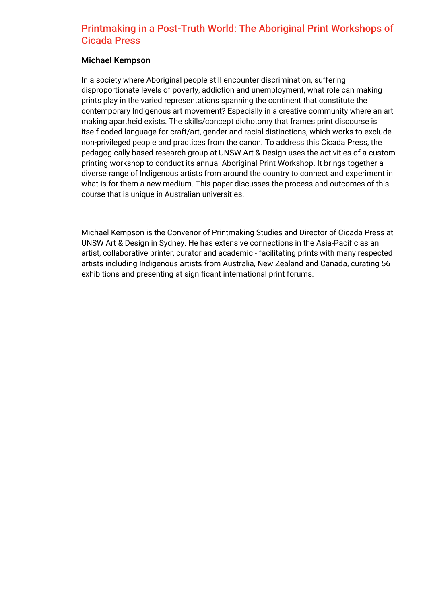## Printmaking in a Post-Truth World: The Aboriginal Print Workshops of Cicada Press

#### Michael Kempson

In a society where Aboriginal people still encounter discrimination, suffering disproportionate levels of poverty, addiction and unemployment, what role can making prints play in the varied representations spanning the continent that constitute the contemporary Indigenous art movement? Especially in a creative community where an art making apartheid exists. The skills/concept dichotomy that frames print discourse is itself coded language for craft/art, gender and racial distinctions, which works to exclude non-privileged people and practices from the canon. To address this Cicada Press, the pedagogically based research group at UNSW Art & Design uses the activities of a custom printing workshop to conduct its annual Aboriginal Print Workshop. It brings together a diverse range of Indigenous artists from around the country to connect and experiment in what is for them a new medium. This paper discusses the process and outcomes of this course that is unique in Australian universities.

Michael Kempson is the Convenor of Printmaking Studies and Director of Cicada Press at UNSW Art & Design in Sydney. He has extensive connections in the Asia-Pacific as an artist, collaborative printer, curator and academic - facilitating prints with many respected artists including Indigenous artists from Australia, New Zealand and Canada, curating 56 exhibitions and presenting at significant international print forums.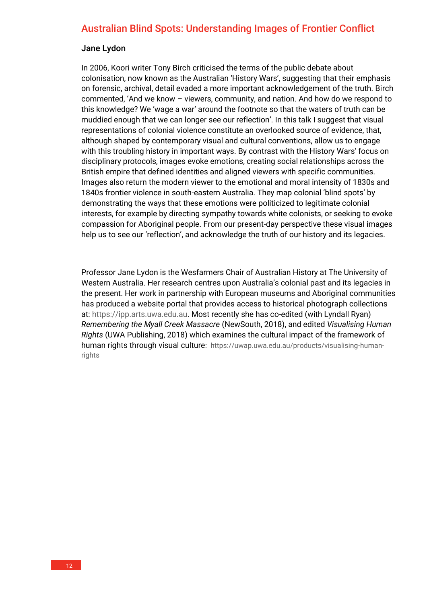## Australian Blind Spots: Understanding Images of Frontier Conflict

#### Jane Lydon

In 2006, Koori writer Tony Birch criticised the terms of the public debate about colonisation, now known as the Australian 'History Wars', suggesting that their emphasis on forensic, archival, detail evaded a more important acknowledgement of the truth. Birch commented, 'And we know – viewers, community, and nation. And how do we respond to this knowledge? We 'wage a war' around the footnote so that the waters of truth can be muddied enough that we can longer see our reflection'. In this talk I suggest that visual representations of colonial violence constitute an overlooked source of evidence, that, although shaped by contemporary visual and cultural conventions, allow us to engage with this troubling history in important ways. By contrast with the History Wars' focus on disciplinary protocols, images evoke emotions, creating social relationships across the British empire that defined identities and aligned viewers with specific communities. Images also return the modern viewer to the emotional and moral intensity of 1830s and 1840s frontier violence in south-eastern Australia. They map colonial 'blind spots' by demonstrating the ways that these emotions were politicized to legitimate colonial interests, for example by directing sympathy towards white colonists, or seeking to evoke compassion for Aboriginal people. From our present-day perspective these visual images help us to see our 'reflection', and acknowledge the truth of our history and its legacies.

Professor Jane Lydon is the Wesfarmers Chair of Australian History at The University of Western Australia. Her research centres upon Australia's colonial past and its legacies in the present. Her work in partnership with European museums and Aboriginal communities has produced a website portal that provides access to historical photograph collections at: [https://ipp.arts.uwa.edu.au.](https://ipp.arts.uwa.edu.au/) Most recently she has co-edited (with Lyndall Ryan) *Remembering the Myall Creek Massacre* (NewSouth, 2018), and edited *Visualising Human Rights* (UWA Publishing, 2018) which examines the cultural impact of the framework of human rights through visual culture: [https://uwap.uwa.edu.au/products/visualising-human](https://uwap.uwa.edu.au/products/visualising-human-rights)[rights](https://uwap.uwa.edu.au/products/visualising-human-rights)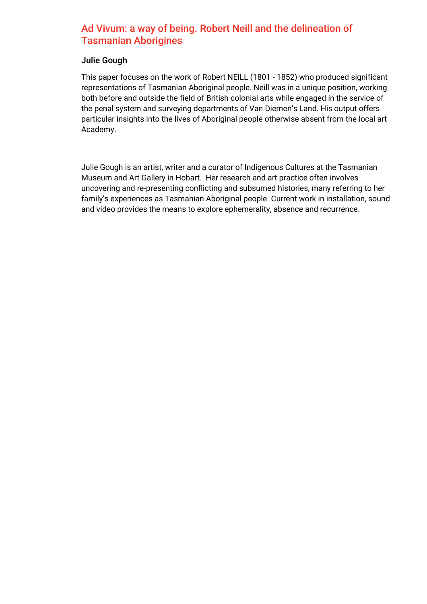## Ad Vivum: a way of being. Robert Neill and the delineation of Tasmanian Aborigines

#### Julie Gough

This paper focuses on the work of Robert NEILL (1801 - 1852) who produced significant representations of Tasmanian Aboriginal people. Neill was in a unique position, working both before and outside the field of British colonial arts while engaged in the service of the penal system and surveying departments of Van Diemen's Land. His output offers particular insights into the lives of Aboriginal people otherwise absent from the local art Academy.

Julie Gough is an artist, writer and a curator of Indigenous Cultures at the Tasmanian Museum and Art Gallery in Hobart. Her research and art practice often involves uncovering and re-presenting conflicting and subsumed histories, many referring to her family's experiences as Tasmanian Aboriginal people. Current work in installation, sound and video provides the means to explore ephemerality, absence and recurrence.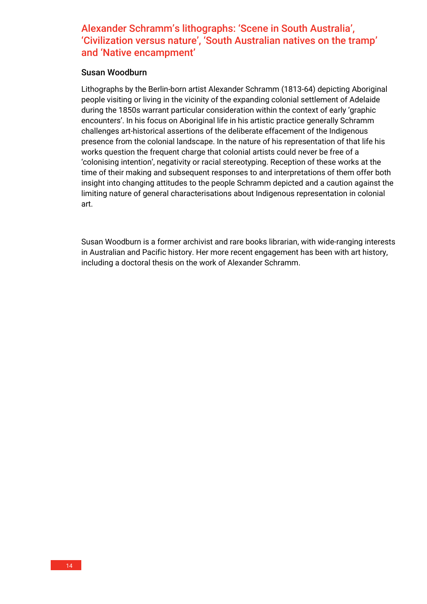## Alexander Schramm's lithographs: 'Scene in South Australia', 'Civilization versus nature', 'South Australian natives on the tramp' and 'Native encampment'

#### Susan Woodburn

Lithographs by the Berlin-born artist Alexander Schramm (1813-64) depicting Aboriginal people visiting or living in the vicinity of the expanding colonial settlement of Adelaide during the 1850s warrant particular consideration within the context of early 'graphic encounters'. In his focus on Aboriginal life in his artistic practice generally Schramm challenges art-historical assertions of the deliberate effacement of the Indigenous presence from the colonial landscape. In the nature of his representation of that life his works question the frequent charge that colonial artists could never be free of a 'colonising intention', negativity or racial stereotyping. Reception of these works at the time of their making and subsequent responses to and interpretations of them offer both insight into changing attitudes to the people Schramm depicted and a caution against the limiting nature of general characterisations about Indigenous representation in colonial art.

Susan Woodburn is a former archivist and rare books librarian, with wide-ranging interests in Australian and Pacific history. Her more recent engagement has been with art history, including a doctoral thesis on the work of Alexander Schramm.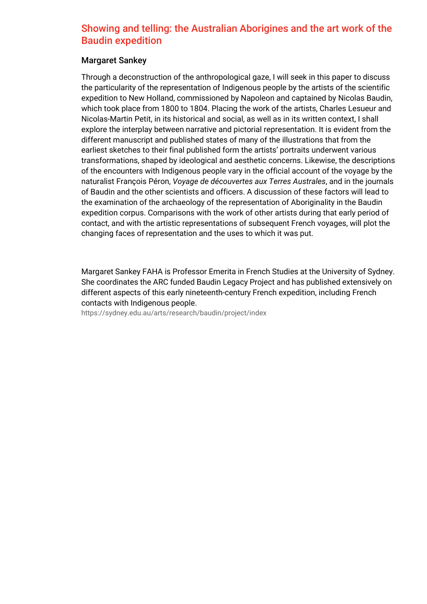## Showing and telling: the Australian Aborigines and the art work of the Baudin expedition

#### Margaret Sankey

Through a deconstruction of the anthropological gaze, I will seek in this paper to discuss the particularity of the representation of Indigenous people by the artists of the scientific expedition to New Holland, commissioned by Napoleon and captained by Nicolas Baudin, which took place from 1800 to 1804. Placing the work of the artists, Charles Lesueur and Nicolas-Martin Petit, in its historical and social, as well as in its written context, I shall explore the interplay between narrative and pictorial representation. It is evident from the different manuscript and published states of many of the illustrations that from the earliest sketches to their final published form the artists' portraits underwent various transformations, shaped by ideological and aesthetic concerns. Likewise, the descriptions of the encounters with Indigenous people vary in the official account of the voyage by the naturalist François Péron, *Voyage de découvertes aux Terres Australes*, and in the journals of Baudin and the other scientists and officers. A discussion of these factors will lead to the examination of the archaeology of the representation of Aboriginality in the Baudin expedition corpus. Comparisons with the work of other artists during that early period of contact, and with the artistic representations of subsequent French voyages, will plot the changing faces of representation and the uses to which it was put.

Margaret Sankey FAHA is Professor Emerita in French Studies at the University of Sydney. She coordinates the ARC funded Baudin Legacy Project and has published extensively on different aspects of this early nineteenth-century French expedition, including French contacts with Indigenous people.

<https://sydney.edu.au/arts/research/baudin/project/index>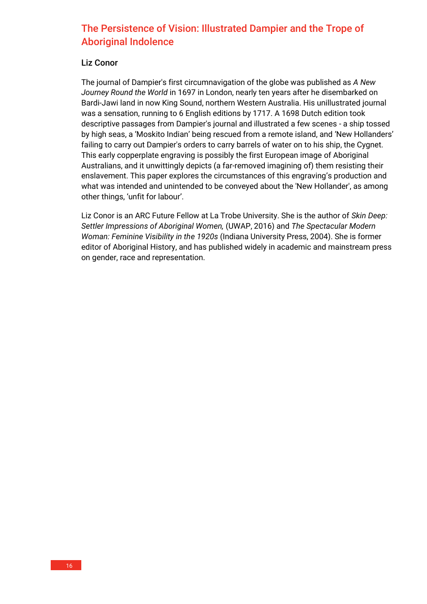## The Persistence of Vision: Illustrated Dampier and the Trope of Aboriginal Indolence

#### Liz Conor

The journal of Dampier's first circumnavigation of the globe was published as *A New Journey Round the World* in 1697 in London, nearly ten years after he disembarked on Bardi-Jawi land in now King Sound, northern Western Australia. His unillustrated journal was a sensation, running to 6 English editions by 1717. A 1698 Dutch edition took descriptive passages from Dampier's journal and illustrated a few scenes - a ship tossed by high seas, a 'Moskito Indian' being rescued from a remote island, and 'New Hollanders' failing to carry out Dampier's orders to carry barrels of water on to his ship, the Cygnet. This early copperplate engraving is possibly the first European image of Aboriginal Australians, and it unwittingly depicts (a far-removed imagining of) them resisting their enslavement. This paper explores the circumstances of this engraving's production and what was intended and unintended to be conveyed about the 'New Hollander', as among other things, 'unfit for labour'.

Liz Conor is an ARC Future Fellow at La Trobe University. She is the author of *Skin Deep: Settler Impressions of Aboriginal Women,* (UWAP, 2016) and *The Spectacular Modern Woman: Feminine Visibility in the 1920s* (Indiana University Press, 2004). She is former editor of Aboriginal History, and has published widely in academic and mainstream press on gender, race and representation.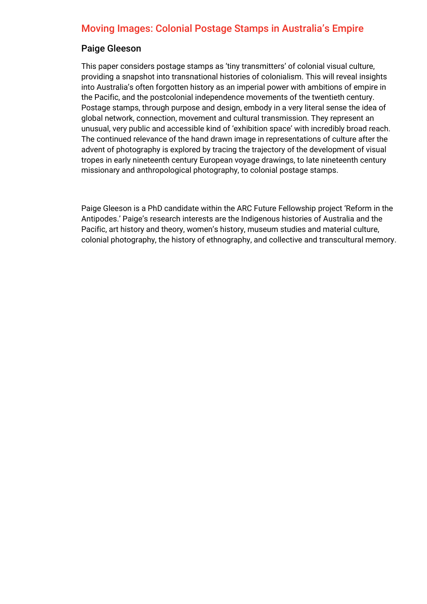## Moving Images: Colonial Postage Stamps in Australia's Empire

#### Paige Gleeson

This paper considers postage stamps as 'tiny transmitters' of colonial visual culture, providing a snapshot into transnational histories of colonialism. This will reveal insights into Australia's often forgotten history as an imperial power with ambitions of empire in the Pacific, and the postcolonial independence movements of the twentieth century. Postage stamps, through purpose and design, embody in a very literal sense the idea of global network, connection, movement and cultural transmission. They represent an unusual, very public and accessible kind of 'exhibition space' with incredibly broad reach. The continued relevance of the hand drawn image in representations of culture after the advent of photography is explored by tracing the trajectory of the development of visual tropes in early nineteenth century European voyage drawings, to late nineteenth century missionary and anthropological photography, to colonial postage stamps.

Paige Gleeson is a PhD candidate within the ARC Future Fellowship project 'Reform in the Antipodes.' Paige's research interests are the Indigenous histories of Australia and the Pacific, art history and theory, women's history, museum studies and material culture, colonial photography, the history of ethnography, and collective and transcultural memory.